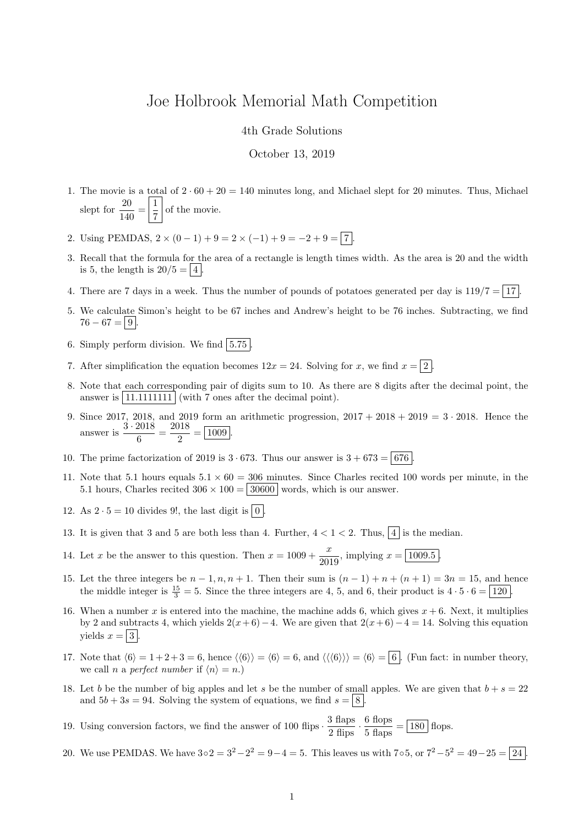## Joe Holbrook Memorial Math Competition

## 4th Grade Solutions

## October 13, 2019

- 1. The movie is a total of  $2 \cdot 60 + 20 = 140$  minutes long, and Michael slept for 20 minutes. Thus, Michael slept for  $\frac{20}{140} = \frac{1}{7}$  $\frac{1}{7}$  of the movie.
- 2. Using PEMDAS,  $2 \times (0-1) + 9 = 2 \times (-1) + 9 = -2 + 9 = 7$ .
- 3. Recall that the formula for the area of a rectangle is length times width. As the area is 20 and the width is 5, the length is  $20/5 = |4|$
- 4. There are 7 days in a week. Thus the number of pounds of potatoes generated per day is  $119/7 = 17$ .
- 5. We calculate Simon's height to be 67 inches and Andrew's height to be 76 inches. Subtracting, we find  $76 - 67 = |9|$ .
- 6. Simply perform division. We find  $\vert 5.75 \vert$
- 7. After simplification the equation becomes  $12x = 24$ . Solving for x, we find  $x = \boxed{2}$ .
- 8. Note that each corresponding pair of digits sum to 10. As there are 8 digits after the decimal point, the answer is  $|11.1111111|$  (with 7 ones after the decimal point).
- 9. Since 2017, 2018, and 2019 form an arithmetic progression,  $2017 + 2018 + 2019 = 3 \cdot 2018$ . Hence the answer is  $\frac{3 \cdot 2018}{c}$  $\frac{2018}{6} = \frac{2018}{2}$  $\frac{2}{2} = \boxed{1009}.$
- 10. The prime factorization of 2019 is  $3 \cdot 673$ . Thus our answer is  $3 + 673 = 676$ .
- 11. Note that 5.1 hours equals  $5.1 \times 60 = 306$  minutes. Since Charles recited 100 words per minute, in the 5.1 hours, Charles recited  $306 \times 100 = 30600$  words, which is our answer.
- 12. As  $2 \cdot 5 = 10$  divides 9!, the last digit is  $\boxed{0}$
- 13. It is given that 3 and 5 are both less than 4. Further,  $4 < 1 < 2$ . Thus,  $\boxed{4}$  is the median.
- 14. Let x be the answer to this question. Then  $x = 1009 + \frac{x}{200}$  $\frac{x}{2019}$ , implying  $x = \boxed{1009.5}$ .
- 15. Let the three integers be  $n-1, n, n+1$ . Then their sum is  $(n-1) + n + (n+1) = 3n = 15$ , and hence the middle integer is  $\frac{15}{3} = 5$ . Since the three integers are 4, 5, and 6, their product is  $4 \cdot 5 \cdot 6 = 120$ .
- 16. When a number x is entered into the machine, the machine adds 6, which gives  $x + 6$ . Next, it multiplies by 2 and subtracts 4, which yields  $2(x+6)-4$ . We are given that  $2(x+6)-4=14$ . Solving this equation yields  $x = |3|$ .
- 17. Note that  $\langle 6 \rangle = 1 + 2 + 3 = 6$ , hence  $\langle 6 \rangle = \langle 6 \rangle = 6$ , and  $\langle \langle 6 \rangle \rangle = \langle 6 \rangle = 6$ . (Fun fact: in number theory, we call *n* a perfect number if  $\langle n \rangle = n$ .)
- 18. Let b be the number of big apples and let s be the number of small apples. We are given that  $b + s = 22$ and  $5b + 3s = 94$ . Solving the system of equations, we find  $s = |8|$ .
- 19. Using conversion factors, we find the answer of 100 flips  $\cdot \frac{3 \text{ flaps}}{2 \text{ flips}} \cdot \frac{6 \text{ flops}}{5 \text{ flaps}} = 180 \text{ flops}.$
- 20. We use PEMDAS. We have  $3 \circ 2 = 3^2 2^2 = 9 4 = 5$ . This leaves us with  $7 \circ 5$ , or  $7^2 5^2 = 49 25 = 24$ .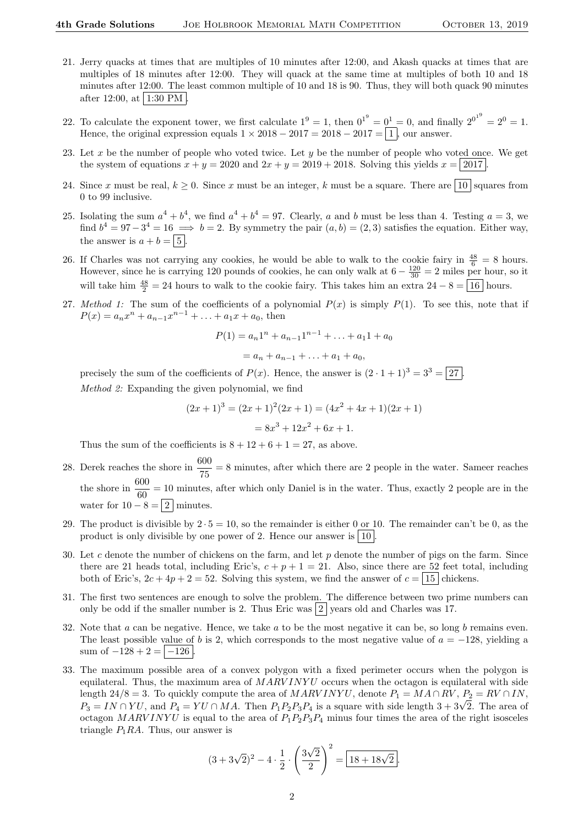- 21. Jerry quacks at times that are multiples of 10 minutes after 12:00, and Akash quacks at times that are multiples of 18 minutes after 12:00. They will quack at the same time at multiples of both 10 and 18 minutes after 12:00. The least common multiple of 10 and 18 is 90. Thus, they will both quack 90 minutes after 12:00, at  $|1:30$  PM
- 22. To calculate the exponent tower, we first calculate  $1^9 = 1$ , then  $0^{1^9} = 0^1 = 0$ , and finally  $2^{0^{1^9}} = 2^0 = 1$ . Hence, the original expression equals  $1 \times 2018 - 2017 = 2018 - 2017 = \boxed{1}$ , our answer.
- 23. Let  $x$  be the number of people who voted twice. Let  $y$  be the number of people who voted once. We get the system of equations  $x + y = 2020$  and  $2x + y = 2019 + 2018$ . Solving this yields  $x = 2017$ .
- 24. Since x must be real,  $k \geq 0$ . Since x must be an integer, k must be a square. There are 10 squares from 0 to 99 inclusive.
- 25. Isolating the sum  $a^4 + b^4$ , we find  $a^4 + b^4 = 97$ . Clearly, a and b must be less than 4. Testing  $a = 3$ , we find  $b^4 = 97-3^4 = 16 \implies b = 2$ . By symmetry the pair  $(a, b) = (2, 3)$  satisfies the equation. Either way, the answer is  $a + b = \boxed{5}$ .
- 26. If Charles was not carrying any cookies, he would be able to walk to the cookie fairy in  $\frac{48}{6} = 8$  hours. However, since he is carrying 120 pounds of cookies, he can only walk at  $6 - \frac{120}{30} = 2$  miles per hour, so it will take him  $\frac{48}{2} = 24$  hours to walk to the cookie fairy. This takes him an extra  $24 - 8 = 16$  hours.
- 27. Method 1: The sum of the coefficients of a polynomial  $P(x)$  is simply  $P(1)$ . To see this, note that if  $P(x) = a_n x^n + a_{n-1} x^{n-1} + \ldots + a_1 x + a_0$ , then

$$
P(1) = a_n 1^n + a_{n-1} 1^{n-1} + \ldots + a_1 1 + a_0
$$

$$
= a_n + a_{n-1} + \ldots + a_1 + a_0,
$$

precisely the sum of the coefficients of  $P(x)$ . Hence, the answer is  $(2 \cdot 1 + 1)^3 = 3^3 = 27$ . Method 2: Expanding the given polynomial, we find

$$
(2x+1)3 = (2x+1)2(2x+1) = (4x2 + 4x + 1)(2x + 1)
$$

$$
= 8x3 + 12x2 + 6x + 1.
$$

Thus the sum of the coefficients is  $8 + 12 + 6 + 1 = 27$ , as above.

- 28. Derek reaches the shore in  $\frac{600}{75} = 8$  minutes, after which there are 2 people in the water. Sameer reaches the shore in  $\frac{600}{60} = 10$  minutes, after which only Daniel is in the water. Thus, exactly 2 people are in the water for  $10 - 8 = 2$  minutes.
- 29. The product is divisible by  $2 \cdot 5 = 10$ , so the remainder is either 0 or 10. The remainder can't be 0, as the product is only divisible by one power of 2. Hence our answer is  $|10|$ .
- 30. Let c denote the number of chickens on the farm, and let  $p$  denote the number of pigs on the farm. Since there are 21 heads total, including Eric's,  $c + p + 1 = 21$ . Also, since there are 52 feet total, including both of Eric's,  $2c + 4p + 2 = 52$ . Solving this system, we find the answer of  $c = 15$  chickens.
- 31. The first two sentences are enough to solve the problem. The difference between two prime numbers can only be odd if the smaller number is 2. Thus Eric was  $\boxed{2}$  years old and Charles was 17.
- 32. Note that  $a$  can be negative. Hence, we take  $a$  to be the most negative it can be, so long  $b$  remains even. The least possible value of b is 2, which corresponds to the most negative value of  $a = -128$ , yielding a sum of  $-128 + 2 = |-126|$ .
- 33. The maximum possible area of a convex polygon with a fixed perimeter occurs when the polygon is equilateral. Thus, the maximum area of  $MARYINYU$  occurs when the octagon is equilateral with side length 24/8 = 3. To quickly compute the area of MARV INYU, denote  $P_1 = MA \cap RV$ ,  $P_2 = RV \cap IN$ , ength  $24/8 = 3$ . To quickly compute the area of *MARV INTU*, denote  $P_1 = M A + RV$ ,  $P_2 = RV + IIN$ ,  $P_3 = IN \cap YU$ , and  $P_4 = YU \cap MA$ . Then  $P_1P_2P_3P_4$  is a square with side length  $3 + 3\sqrt{2}$ . The area of octagon MARVINYU is equal to the area of  $P_1P_2P_3P_4$  minus four times the area of the right isosceles triangle  $P_1RA$ . Thus, our answer is

$$
(3+3\sqrt{2})^2 - 4 \cdot \frac{1}{2} \cdot \left(\frac{3\sqrt{2}}{2}\right)^2 = \boxed{18+18\sqrt{2}}.
$$